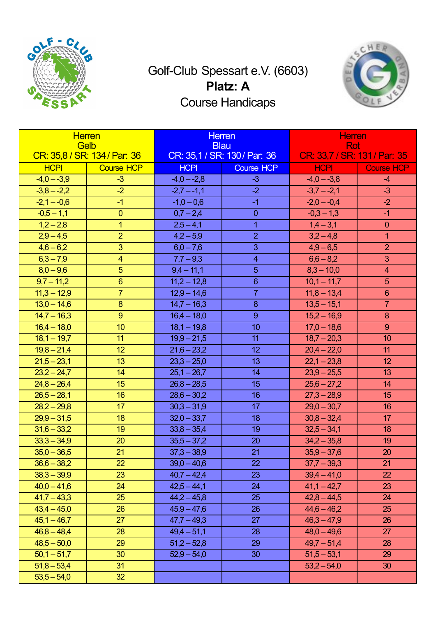

## Golf-Club Spessart e.V. (6603) **Platz: A** Course Handicaps



| <b>Herren</b><br><b>Gelb</b><br>CR: 35,8 / SR: 134 / Par: 36 |                   | <b>Herren</b><br><b>Blau</b><br>CR: 35,1 / SR: 130 / Par: 36 |                   | <b>Herren</b><br><b>Rot</b><br>CR: 33,7 / SR: 131 / Par: 35 |                   |
|--------------------------------------------------------------|-------------------|--------------------------------------------------------------|-------------------|-------------------------------------------------------------|-------------------|
| <b>HCPI</b>                                                  | <b>Course HCP</b> | <b>HCPI</b>                                                  | <b>Course HCP</b> | <b>HCPI</b>                                                 | <b>Course HCP</b> |
| $-4,0 - -3,9$                                                | $-3$              | $-4,0 - -2,8$                                                | $-3$              | $-4,0 - -3,8$                                               | $-4$              |
| $-3,8 - -2,2$                                                | $-2$              | $-2,7 - -1,1$                                                | $-2$              | $-3,7 - -2,1$                                               | $-3$              |
| $-2,1 - -0,6$                                                | $-1$              | $-1,0 - 0,6$                                                 | $-1$              | $-2,0 - -0,4$                                               | $-2$              |
| $-0,5 - 1,1$                                                 | $\overline{0}$    | $0,7 - 2,4$                                                  | $\overline{0}$    | $-0,3 - 1,3$                                                | $-1$              |
| $1,2 - 2,8$                                                  | $\overline{1}$    | $2,5 - 4,1$                                                  | $\overline{1}$    | $1,4 - 3,1$                                                 | $\overline{0}$    |
| $2,9 - 4,5$                                                  | $\overline{2}$    | $4,2 - 5,9$                                                  | 2                 | $3,2-4,8$                                                   | $\mathbf 1$       |
| $4,6 - 6,2$                                                  | 3                 | $6,0 - 7,6$                                                  | 3                 | $4,9 - 6,5$                                                 | $\overline{2}$    |
| $6,3 - 7,9$                                                  | $\overline{4}$    | $7,7 - 9,3$                                                  | $\overline{4}$    | $6,6 - 8,2$                                                 | 3                 |
| $8,0 - 9,6$                                                  | 5                 | $9,4 - 11,1$                                                 | 5                 | $8,3 - 10,0$                                                | $\overline{4}$    |
| $9,7 - 11,2$                                                 | $6\overline{6}$   | $11,2 - 12,8$                                                | $6\phantom{1}$    | $10,1 - 11,7$                                               | 5                 |
| $11,3 - 12,9$                                                | $\overline{7}$    | $12,9 - 14,6$                                                | $\overline{7}$    | $11,8 - 13,4$                                               | $6\phantom{1}$    |
| $13,0 - 14,6$                                                | 8                 | $14,7 - 16,3$                                                | 8                 | $13,5 - 15,1$                                               | $\overline{7}$    |
| $14,7 - 16,3$                                                | 9                 | $16,4 - 18,0$                                                | 9                 | $15,2 - 16,9$                                               | 8                 |
| $16,4 - 18,0$                                                | 10 <sup>°</sup>   | $18,1 - 19,8$                                                | 10                | $17,0 - 18,6$                                               | 9                 |
| $18,1 - 19,7$                                                | 11                | $19,9 - 21,5$                                                | 11                | $18,7 - 20,3$                                               | 10                |
| $19,8 - 21,4$                                                | 12                | $21,6 - 23,2$                                                | 12                | $20,4 - 22,0$                                               | 11                |
| $21,5 - 23,1$                                                | 13 <sup>°</sup>   | $23,3 - 25,0$                                                | 13                | $22,1 - 23,8$                                               | 12                |
| $23,2 - 24,7$                                                | 14                | $25,1 - 26,7$                                                | 14                | $23,9 - 25,5$                                               | 13                |
| $24,8 - 26,4$                                                | 15                | $26,8 - 28,5$                                                | 15                | $25,6 - 27,2$                                               | 14                |
| $26,5 - 28,1$                                                | 16                | $28,6 - 30,2$                                                | 16                | $27,3 - 28,9$                                               | 15                |
| $28,2 - 29,8$                                                | 17                | $30,3 - 31,9$                                                | 17                | $29,0 - 30,7$                                               | 16                |
| $29,9 - 31,5$                                                | 18                | $32,0 - 33,7$                                                | 18                | $30,8 - 32,4$                                               | 17                |
| $31,6 - 33,2$                                                | 19                | $33,8 - 35,4$                                                | 19                | $32,5 - 34,1$                                               | 18                |
| $33,3 - 34,9$                                                | 20                | $35,5 - 37,2$                                                | 20                | $34,2 - 35,8$                                               | 19                |
| $35,0 - 36,5$                                                | 21                | $37,3 - 38,9$                                                | 21                | $35,9 - 37,6$                                               | 20                |
| $36,6 - 38,2$                                                | 22                | $39,0 - 40,6$                                                | 22                | $37,7 - 39,3$                                               | 21                |
| $38,3 - 39,9$                                                | 23                | $40,7 - 42,4$                                                | 23                | $39,4 - 41,0$                                               | 22                |
| $40,0 - 41,6$                                                | 24                | $42,5 - 44,1$                                                | 24                | $41,1 - 42,7$                                               | 23                |
| $41,7 - 43,3$                                                | 25                | $44,2 - 45,8$                                                | 25                | $42,8 - 44,5$                                               | 24                |
| $43,4 - 45,0$                                                | 26                | $45,9 - 47,6$                                                | 26                | $44,6 - 46,2$                                               | 25                |
| $45,1 - 46,7$                                                | 27                | $47,7 - 49,3$                                                | 27                | $46,3 - 47,9$                                               | 26                |
| $46,8 - 48,4$                                                | 28                | $49,4 - 51,1$                                                | 28                | $48,0 - 49,6$                                               | 27                |
| $48,5 - 50,0$                                                | 29                | $51,2 - 52,8$                                                | 29                | $49,7 - 51,4$                                               | 28                |
| $50,1 - 51,7$                                                | 30                | $52,9 - 54,0$                                                | 30                | $51,5 - 53,1$                                               | 29                |
| $51,8 - 53,4$                                                | 31                |                                                              |                   | $53,2 - 54,0$                                               | 30                |
| $53,5 - 54,0$                                                | 32 <sub>2</sub>   |                                                              |                   |                                                             |                   |